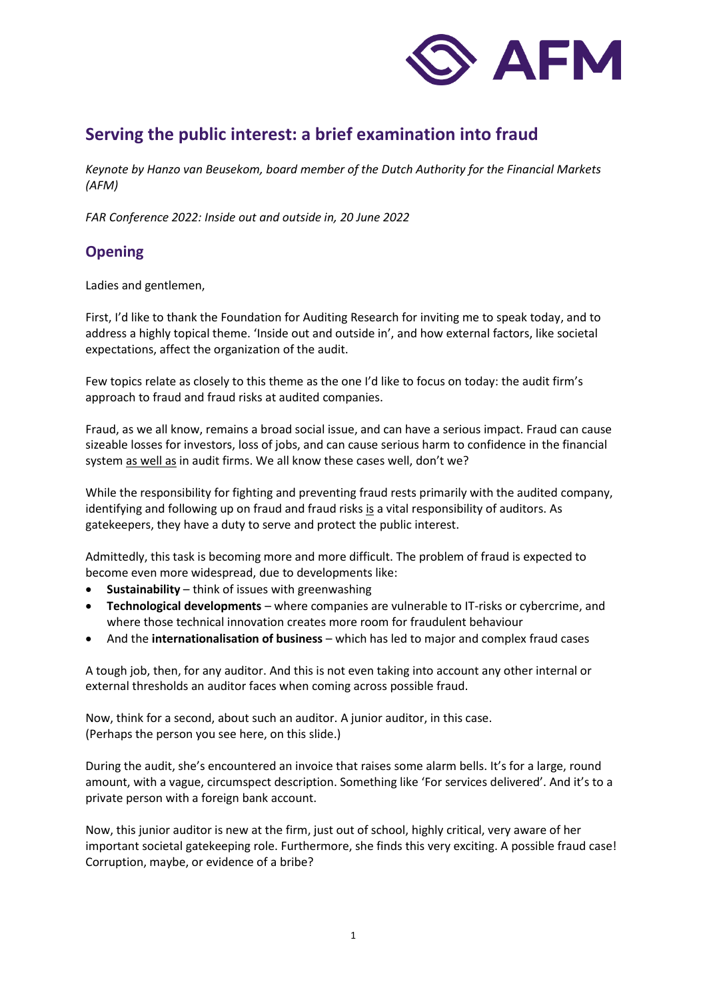

# **Serving the public interest: a brief examination into fraud**

*Keynote by Hanzo van Beusekom, board member of the Dutch Authority for the Financial Markets (AFM)*

*FAR Conference 2022: Inside out and outside in, 20 June 2022*

### **Opening**

Ladies and gentlemen,

First, I'd like to thank the Foundation for Auditing Research for inviting me to speak today, and to address a highly topical theme. 'Inside out and outside in', and how external factors, like societal expectations, affect the organization of the audit.

Few topics relate as closely to this theme as the one I'd like to focus on today: the audit firm's approach to fraud and fraud risks at audited companies.

Fraud, as we all know, remains a broad social issue, and can have a serious impact. Fraud can cause sizeable losses for investors, loss of jobs, and can cause serious harm to confidence in the financial system as well as in audit firms. We all know these cases well, don't we?

While the responsibility for fighting and preventing fraud rests primarily with the audited company, identifying and following up on fraud and fraud risks is a vital responsibility of auditors. As gatekeepers, they have a duty to serve and protect the public interest.

Admittedly, this task is becoming more and more difficult. The problem of fraud is expected to become even more widespread, due to developments like:

- **Sustainability** think of issues with greenwashing
- **Technological developments** where companies are vulnerable to IT-risks or cybercrime, and where those technical innovation creates more room for fraudulent behaviour
- And the **internationalisation of business** which has led to major and complex fraud cases

A tough job, then, for any auditor. And this is not even taking into account any other internal or external thresholds an auditor faces when coming across possible fraud.

Now, think for a second, about such an auditor. A junior auditor, in this case. (Perhaps the person you see here, on this slide.)

During the audit, she's encountered an invoice that raises some alarm bells. It's for a large, round amount, with a vague, circumspect description. Something like 'For services delivered'. And it's to a private person with a foreign bank account.

Now, this junior auditor is new at the firm, just out of school, highly critical, very aware of her important societal gatekeeping role. Furthermore, she finds this very exciting. A possible fraud case! Corruption, maybe, or evidence of a bribe?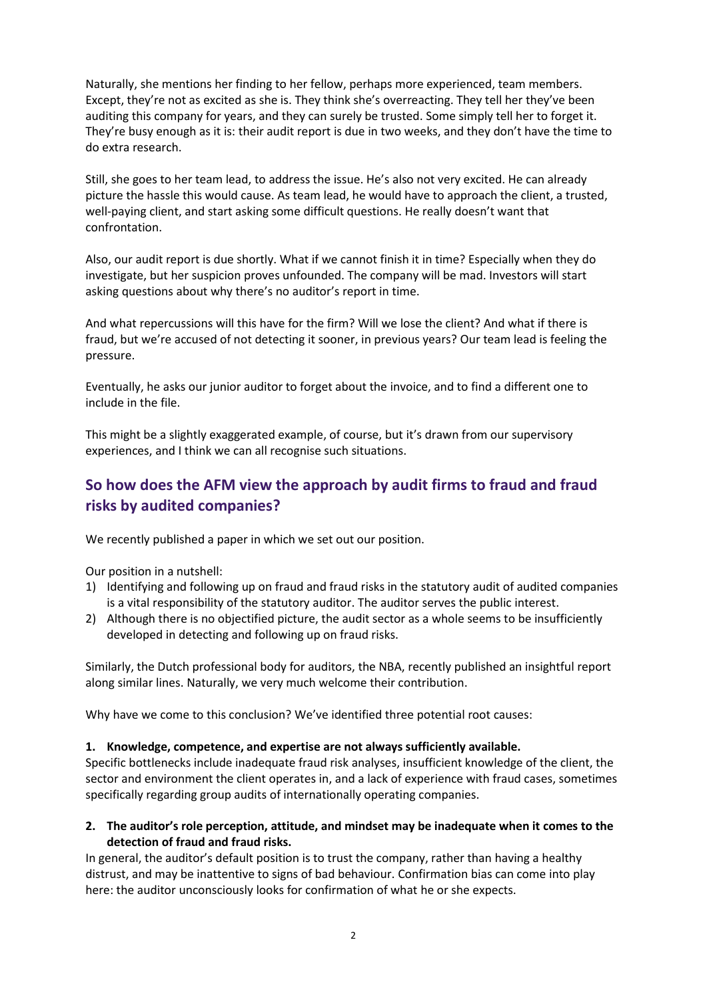Naturally, she mentions her finding to her fellow, perhaps more experienced, team members. Except, they're not as excited as she is. They think she's overreacting. They tell her they've been auditing this company for years, and they can surely be trusted. Some simply tell her to forget it. They're busy enough as it is: their audit report is due in two weeks, and they don't have the time to do extra research.

Still, she goes to her team lead, to address the issue. He's also not very excited. He can already picture the hassle this would cause. As team lead, he would have to approach the client, a trusted, well-paying client, and start asking some difficult questions. He really doesn't want that confrontation.

Also, our audit report is due shortly. What if we cannot finish it in time? Especially when they do investigate, but her suspicion proves unfounded. The company will be mad. Investors will start asking questions about why there's no auditor's report in time.

And what repercussions will this have for the firm? Will we lose the client? And what if there is fraud, but we're accused of not detecting it sooner, in previous years? Our team lead is feeling the pressure.

Eventually, he asks our junior auditor to forget about the invoice, and to find a different one to include in the file.

This might be a slightly exaggerated example, of course, but it's drawn from our supervisory experiences, and I think we can all recognise such situations.

### **So how does the AFM view the approach by audit firms to fraud and fraud risks by audited companies?**

We recently published a paper in which we set out our position.

Our position in a nutshell:

- 1) Identifying and following up on fraud and fraud risks in the statutory audit of audited companies is a vital responsibility of the statutory auditor. The auditor serves the public interest.
- 2) Although there is no objectified picture, the audit sector as a whole seems to be insufficiently developed in detecting and following up on fraud risks.

Similarly, the Dutch professional body for auditors, the NBA, recently published an insightful report along similar lines. Naturally, we very much welcome their contribution.

Why have we come to this conclusion? We've identified three potential root causes:

#### **1. Knowledge, competence, and expertise are not always sufficiently available.**

Specific bottlenecks include inadequate fraud risk analyses, insufficient knowledge of the client, the sector and environment the client operates in, and a lack of experience with fraud cases, sometimes specifically regarding group audits of internationally operating companies.

**2. The auditor's role perception, attitude, and mindset may be inadequate when it comes to the detection of fraud and fraud risks.**

In general, the auditor's default position is to trust the company, rather than having a healthy distrust, and may be inattentive to signs of bad behaviour. Confirmation bias can come into play here: the auditor unconsciously looks for confirmation of what he or she expects.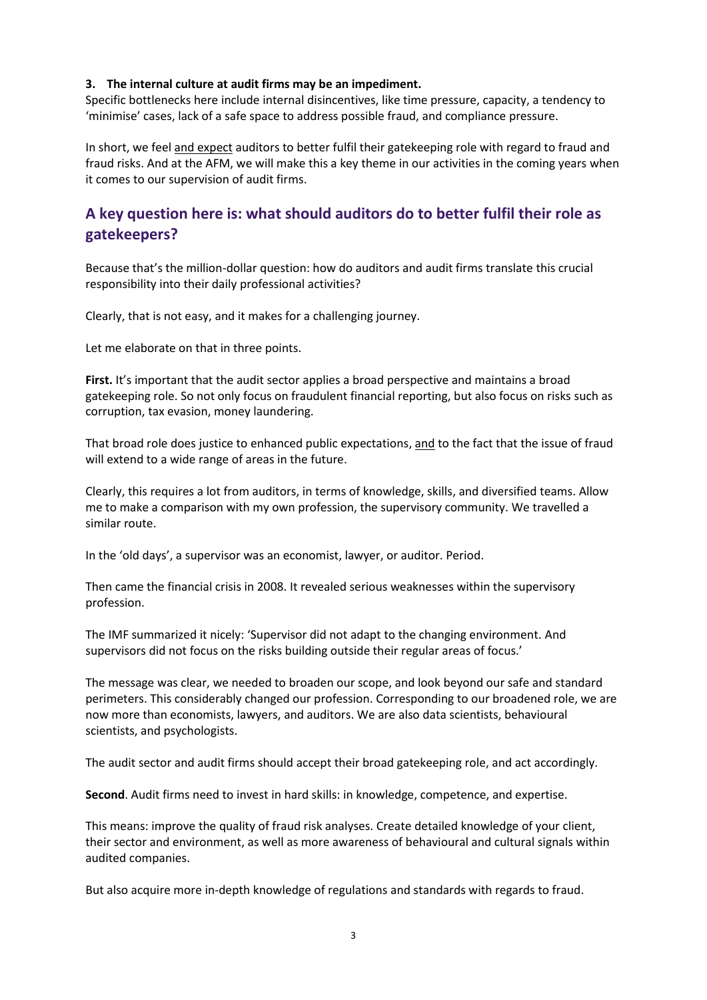#### **3. The internal culture at audit firms may be an impediment.**

Specific bottlenecks here include internal disincentives, like time pressure, capacity, a tendency to 'minimise' cases, lack of a safe space to address possible fraud, and compliance pressure.

In short, we feel and expect auditors to better fulfil their gatekeeping role with regard to fraud and fraud risks. And at the AFM, we will make this a key theme in our activities in the coming years when it comes to our supervision of audit firms.

## **A key question here is: what should auditors do to better fulfil their role as gatekeepers?**

Because that's the million-dollar question: how do auditors and audit firms translate this crucial responsibility into their daily professional activities?

Clearly, that is not easy, and it makes for a challenging journey.

Let me elaborate on that in three points.

**First.** It's important that the audit sector applies a broad perspective and maintains a broad gatekeeping role. So not only focus on fraudulent financial reporting, but also focus on risks such as corruption, tax evasion, money laundering.

That broad role does justice to enhanced public expectations, and to the fact that the issue of fraud will extend to a wide range of areas in the future.

Clearly, this requires a lot from auditors, in terms of knowledge, skills, and diversified teams. Allow me to make a comparison with my own profession, the supervisory community. We travelled a similar route.

In the 'old days', a supervisor was an economist, lawyer, or auditor. Period.

Then came the financial crisis in 2008. It revealed serious weaknesses within the supervisory profession.

The IMF summarized it nicely: 'Supervisor did not adapt to the changing environment. And supervisors did not focus on the risks building outside their regular areas of focus.'

The message was clear, we needed to broaden our scope, and look beyond our safe and standard perimeters. This considerably changed our profession. Corresponding to our broadened role, we are now more than economists, lawyers, and auditors. We are also data scientists, behavioural scientists, and psychologists.

The audit sector and audit firms should accept their broad gatekeeping role, and act accordingly.

**Second**. Audit firms need to invest in hard skills: in knowledge, competence, and expertise.

This means: improve the quality of fraud risk analyses. Create detailed knowledge of your client, their sector and environment, as well as more awareness of behavioural and cultural signals within audited companies.

But also acquire more in-depth knowledge of regulations and standards with regards to fraud.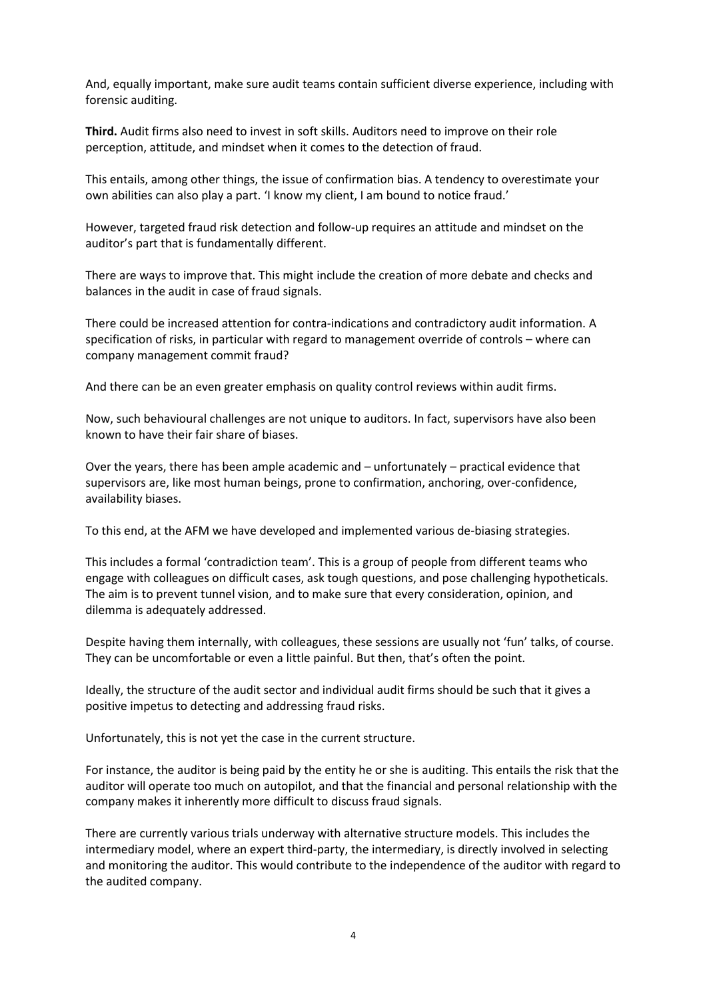And, equally important, make sure audit teams contain sufficient diverse experience, including with forensic auditing.

**Third.** Audit firms also need to invest in soft skills. Auditors need to improve on their role perception, attitude, and mindset when it comes to the detection of fraud.

This entails, among other things, the issue of confirmation bias. A tendency to overestimate your own abilities can also play a part. 'I know my client, I am bound to notice fraud.'

However, targeted fraud risk detection and follow-up requires an attitude and mindset on the auditor's part that is fundamentally different.

There are ways to improve that. This might include the creation of more debate and checks and balances in the audit in case of fraud signals.

There could be increased attention for contra-indications and contradictory audit information. A specification of risks, in particular with regard to management override of controls – where can company management commit fraud?

And there can be an even greater emphasis on quality control reviews within audit firms.

Now, such behavioural challenges are not unique to auditors. In fact, supervisors have also been known to have their fair share of biases.

Over the years, there has been ample academic and – unfortunately – practical evidence that supervisors are, like most human beings, prone to confirmation, anchoring, over-confidence, availability biases.

To this end, at the AFM we have developed and implemented various de-biasing strategies.

This includes a formal 'contradiction team'. This is a group of people from different teams who engage with colleagues on difficult cases, ask tough questions, and pose challenging hypotheticals. The aim is to prevent tunnel vision, and to make sure that every consideration, opinion, and dilemma is adequately addressed.

Despite having them internally, with colleagues, these sessions are usually not 'fun' talks, of course. They can be uncomfortable or even a little painful. But then, that's often the point.

Ideally, the structure of the audit sector and individual audit firms should be such that it gives a positive impetus to detecting and addressing fraud risks.

Unfortunately, this is not yet the case in the current structure.

For instance, the auditor is being paid by the entity he or she is auditing. This entails the risk that the auditor will operate too much on autopilot, and that the financial and personal relationship with the company makes it inherently more difficult to discuss fraud signals.

There are currently various trials underway with alternative structure models. This includes the intermediary model, where an expert third-party, the intermediary, is directly involved in selecting and monitoring the auditor. This would contribute to the independence of the auditor with regard to the audited company.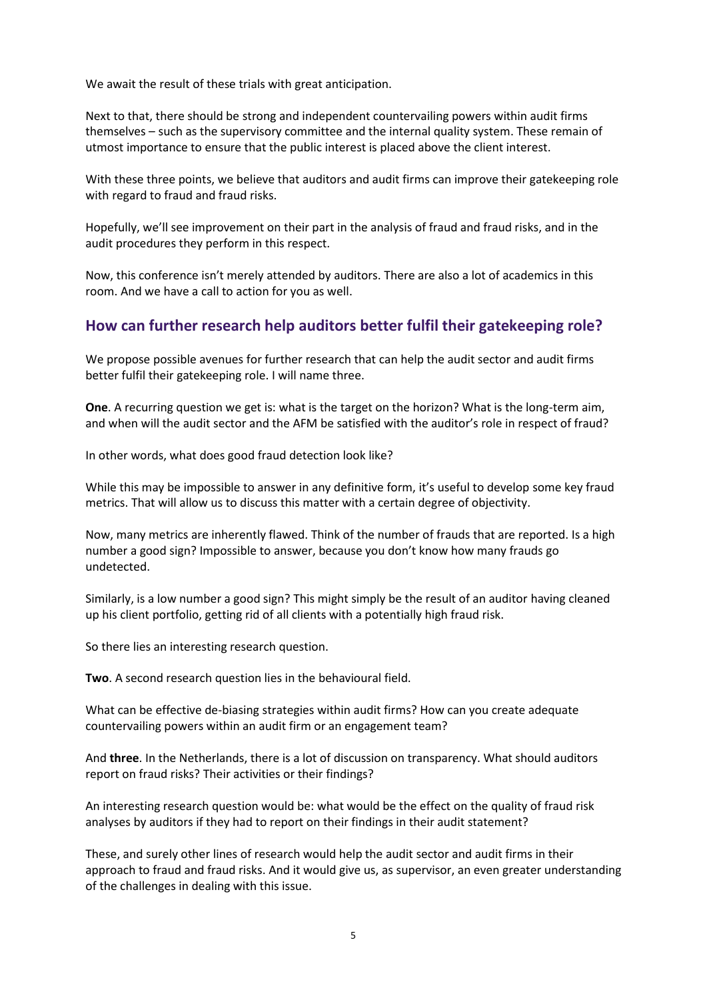We await the result of these trials with great anticipation.

Next to that, there should be strong and independent countervailing powers within audit firms themselves – such as the supervisory committee and the internal quality system. These remain of utmost importance to ensure that the public interest is placed above the client interest.

With these three points, we believe that auditors and audit firms can improve their gatekeeping role with regard to fraud and fraud risks.

Hopefully, we'll see improvement on their part in the analysis of fraud and fraud risks, and in the audit procedures they perform in this respect.

Now, this conference isn't merely attended by auditors. There are also a lot of academics in this room. And we have a call to action for you as well.

### **How can further research help auditors better fulfil their gatekeeping role?**

We propose possible avenues for further research that can help the audit sector and audit firms better fulfil their gatekeeping role. I will name three.

**One**. A recurring question we get is: what is the target on the horizon? What is the long-term aim, and when will the audit sector and the AFM be satisfied with the auditor's role in respect of fraud?

In other words, what does good fraud detection look like?

While this may be impossible to answer in any definitive form, it's useful to develop some key fraud metrics. That will allow us to discuss this matter with a certain degree of objectivity.

Now, many metrics are inherently flawed. Think of the number of frauds that are reported. Is a high number a good sign? Impossible to answer, because you don't know how many frauds go undetected.

Similarly, is a low number a good sign? This might simply be the result of an auditor having cleaned up his client portfolio, getting rid of all clients with a potentially high fraud risk.

So there lies an interesting research question.

**Two**. A second research question lies in the behavioural field.

What can be effective de-biasing strategies within audit firms? How can you create adequate countervailing powers within an audit firm or an engagement team?

And **three**. In the Netherlands, there is a lot of discussion on transparency. What should auditors report on fraud risks? Their activities or their findings?

An interesting research question would be: what would be the effect on the quality of fraud risk analyses by auditors if they had to report on their findings in their audit statement?

These, and surely other lines of research would help the audit sector and audit firms in their approach to fraud and fraud risks. And it would give us, as supervisor, an even greater understanding of the challenges in dealing with this issue.